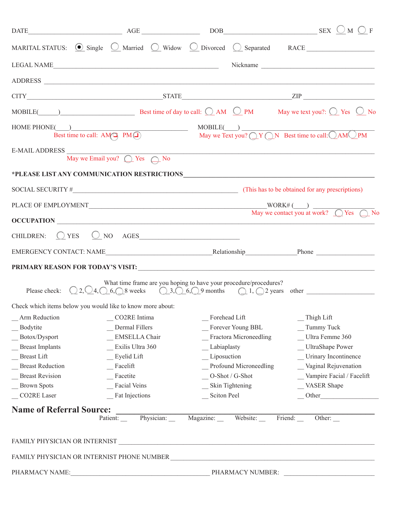|                                                                                                                                                                                                                               |          |                            |            |                    |                                                                   |         | DATE $\overline{\text{MATE}}$ AGE $\overline{\text{OOB}}$ $\overline{\text{OOB}}$ $\overline{\text{SEX}}$ $\overline{\text{O}}$ M $\overline{\text{O}}$ F                                                                      |
|-------------------------------------------------------------------------------------------------------------------------------------------------------------------------------------------------------------------------------|----------|----------------------------|------------|--------------------|-------------------------------------------------------------------|---------|--------------------------------------------------------------------------------------------------------------------------------------------------------------------------------------------------------------------------------|
|                                                                                                                                                                                                                               |          |                            |            |                    |                                                                   |         | MARITAL STATUS: $\circled{)}$ Single $\circled{)}$ Married $\circled{)}$ Widow $\circled{)}$ Divorced $\circled{)}$ Separated RACE                                                                                             |
|                                                                                                                                                                                                                               |          |                            |            |                    |                                                                   |         |                                                                                                                                                                                                                                |
|                                                                                                                                                                                                                               |          |                            |            |                    |                                                                   |         |                                                                                                                                                                                                                                |
|                                                                                                                                                                                                                               |          |                            |            |                    |                                                                   |         |                                                                                                                                                                                                                                |
|                                                                                                                                                                                                                               |          |                            |            |                    |                                                                   |         | MOBILE( $\qquad$ ) Best time of day to call: $\bigcirc$ AM $\bigcirc$ PM May we text you?: $\bigcirc$ Yes $\bigcirc$ No                                                                                                        |
|                                                                                                                                                                                                                               |          |                            |            |                    |                                                                   |         | HOME PHONE(<br>Best time to call: AM  Best time to call: AM  Best time to call: AM  Best time to call: OAM  Best time to call: OAM  PM  Best time to call: OAM OPM  May we Text you? O Y ON Best time to call: OAM OPM  May we |
| E-MAIL ADDRESS $\frac{\text{May we Email you? } \bigcirc \text{Yes } \bigcirc \text{No}}{\text{May we Email you? } \bigcirc \text{Yes } \bigcirc \text{No}}$                                                                  |          |                            |            |                    |                                                                   |         |                                                                                                                                                                                                                                |
|                                                                                                                                                                                                                               |          |                            |            |                    |                                                                   |         |                                                                                                                                                                                                                                |
|                                                                                                                                                                                                                               |          |                            |            |                    |                                                                   |         |                                                                                                                                                                                                                                |
|                                                                                                                                                                                                                               |          |                            |            |                    |                                                                   |         | PLACE OF EMPLOYMENT<br>May we contact you at work? $\bigcirc$ Yes $\bigcirc$ No                                                                                                                                                |
| OCCUPATION                                                                                                                                                                                                                    |          |                            |            |                    |                                                                   |         |                                                                                                                                                                                                                                |
| CHILDREN: $\bigcirc$ YES $\bigcirc$ NO AGES                                                                                                                                                                                   |          |                            |            |                    |                                                                   |         |                                                                                                                                                                                                                                |
|                                                                                                                                                                                                                               |          |                            |            |                    |                                                                   |         |                                                                                                                                                                                                                                |
|                                                                                                                                                                                                                               |          |                            |            |                    |                                                                   |         |                                                                                                                                                                                                                                |
|                                                                                                                                                                                                                               |          |                            |            |                    | What time frame are you hoping to have your procedure/procedures? |         | Please check: $\bigcirc$ 2, $\bigcirc$ 4, $\bigcirc$ 6, $\bigcirc$ 8 weeks $\bigcirc$ 3, $\bigcirc$ 6, $\bigcirc$ 9 months $\bigcirc$ 1, $\bigcirc$ 2 years other                                                              |
| Check which items below you would like to know more about:                                                                                                                                                                    |          |                            |            |                    |                                                                   |         |                                                                                                                                                                                                                                |
|                                                                                                                                                                                                                               |          |                            |            | Forehead Lift      |                                                                   |         | $\overline{\phantom{a}}$ Thigh Lift                                                                                                                                                                                            |
| Bodytite                                                                                                                                                                                                                      |          | Dermal Fillers             |            |                    | Forever Young BBL                                                 |         | Tummy Tuck                                                                                                                                                                                                                     |
| Botox/Dysport                                                                                                                                                                                                                 |          | <b>EMSELLA Chair</b>       |            |                    | Fractora Microneedling                                            |         | Ultra Femme 360                                                                                                                                                                                                                |
| <b>Breast Implants</b>                                                                                                                                                                                                        |          | Exilis Ultra 360           |            | _Labiaplasty       |                                                                   |         | <b>UltraShape Power</b>                                                                                                                                                                                                        |
| <b>Breast Lift</b><br><b>Breast Reduction</b>                                                                                                                                                                                 |          | $E$ yelid Lift<br>Facelift |            | Liposuction        | Profound Microneedling                                            |         | _ Urinary Incontinence<br>Vaginal Rejuvenation                                                                                                                                                                                 |
| <b>Breast Revision</b>                                                                                                                                                                                                        |          | Facetite                   |            |                    | O-Shot / G-Shot                                                   |         | Vampire Facial / Facelift                                                                                                                                                                                                      |
| <b>Brown Spots</b>                                                                                                                                                                                                            |          | <b>Facial Veins</b>        |            |                    | Skin Tightening                                                   |         | <b>VASER</b> Shape                                                                                                                                                                                                             |
| CO2RE Laser                                                                                                                                                                                                                   |          | <b>Fat Injections</b>      |            | <b>Sciton Peel</b> |                                                                   |         | Other Delta Contract of the Contract of the Contract of the Contract of the Contract of the Contract of the Contract of the Contract of the Contract of the Contract of the Contract of the Contract of the Contract of the Co |
|                                                                                                                                                                                                                               |          |                            |            |                    |                                                                   |         |                                                                                                                                                                                                                                |
| <b>Name of Referral Source:</b>                                                                                                                                                                                               | Patient: |                            | Physician: | Magazine: Website: |                                                                   | Friend: | Other:                                                                                                                                                                                                                         |
| FAMILY PHYSICIAN OR INTERNIST NAMES AND THE RESERVE TO A SERIES AND THE RESERVE TO A SERIES AND THE RESERVE TO                                                                                                                |          |                            |            |                    |                                                                   |         |                                                                                                                                                                                                                                |
| FAMILY PHYSICIAN OR INTERNIST PHONE NUMBER NORTH AND THE SERIES AND THE SERIES OF THE SERIES OF THE SERIES OF THE SERIES OF THE SERIES OF THE SERIES OF THE SERIES OF THE SERIES OF THE SERIES OF THE SERIES OF THE SERIES OF |          |                            |            |                    |                                                                   |         |                                                                                                                                                                                                                                |
|                                                                                                                                                                                                                               |          |                            |            |                    |                                                                   |         |                                                                                                                                                                                                                                |
|                                                                                                                                                                                                                               |          |                            |            |                    |                                                                   |         |                                                                                                                                                                                                                                |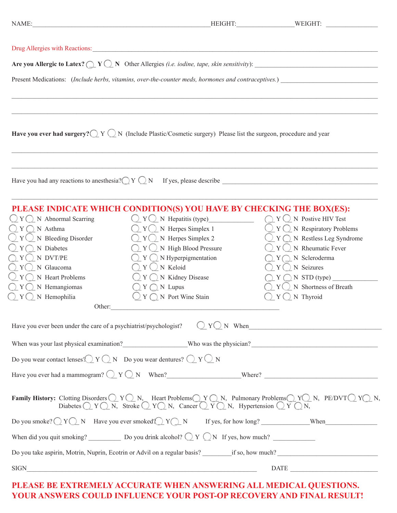| NAME: NAME                                  |                                                                                                                                                                                                                                                                                                                                        |                                                    |
|---------------------------------------------|----------------------------------------------------------------------------------------------------------------------------------------------------------------------------------------------------------------------------------------------------------------------------------------------------------------------------------------|----------------------------------------------------|
|                                             |                                                                                                                                                                                                                                                                                                                                        |                                                    |
|                                             |                                                                                                                                                                                                                                                                                                                                        |                                                    |
|                                             |                                                                                                                                                                                                                                                                                                                                        |                                                    |
|                                             |                                                                                                                                                                                                                                                                                                                                        |                                                    |
|                                             |                                                                                                                                                                                                                                                                                                                                        |                                                    |
|                                             |                                                                                                                                                                                                                                                                                                                                        |                                                    |
|                                             | Have you ever had surgery? $\bigcirc$ Y $\bigcirc$ N (Include Plastic/Cosmetic surgery) Please list the surgeon, procedure and year                                                                                                                                                                                                    |                                                    |
|                                             |                                                                                                                                                                                                                                                                                                                                        |                                                    |
|                                             |                                                                                                                                                                                                                                                                                                                                        |                                                    |
|                                             |                                                                                                                                                                                                                                                                                                                                        |                                                    |
|                                             |                                                                                                                                                                                                                                                                                                                                        |                                                    |
| $\bigcirc$ Y $\bigcirc$ N Abnormal Scarring | PLEASE INDICATE WHICH CONDITION(S) YOU HAVE BY CHECKING THE BOX(ES):                                                                                                                                                                                                                                                                   |                                                    |
| $QYQN$ Asthma                               | $Q Y Q N$ Hepatitis (type) $Q Y Q N$ Postive HIV Test<br>$\bigcirc Y$ N Herpes Simplex 1                                                                                                                                                                                                                                               | $\bigcirc Y \bigcirc N$ Respiratory Problems       |
| $\bigcirc$ Y $\bigcirc$ N Bleeding Disorder | $Q Y Q N$ Herpes Simplex 2                                                                                                                                                                                                                                                                                                             | $\frac{1}{2}$ Y $\bigcirc$ N Restless Leg Syndrome |
| $Q Y Q N$ Diabetes                          | $\bigcirc Y \bigcirc N$ High Blood Pressure                                                                                                                                                                                                                                                                                            | $\bigcirc$ Y $\bigcirc$ N Rheumatic Fever          |
| $\bigcirc$ Y $\bigcirc$ N DVT/PE            | $\bigcirc Y \bigcirc N$ Hyperpigmentation                                                                                                                                                                                                                                                                                              | $Q Y Q N$ Scleroderma                              |
| $QYQN$ Glaucoma                             | $Q Y Q N$ Keloid                                                                                                                                                                                                                                                                                                                       | $\bigcirc$ Y $\bigcirc$ N Seizures                 |
| $Q Y Q N$ Heart Problems                    | $QY$ N Kidney Disease                                                                                                                                                                                                                                                                                                                  | $QY$ $N$ STD (type)                                |
| $\bigcirc$ Y $\bigcirc$ N Hemangiomas       | $QYQN$ Lupus                                                                                                                                                                                                                                                                                                                           | $\bigcap Y \bigcup N$ Shortness of Breath          |
| $Q Y Q N$ Hemophilia                        | $\bigcirc Y \bigcirc N$ Port Wine Stain                                                                                                                                                                                                                                                                                                | $\bigcirc$ Y $\bigcirc$ N Thyroid                  |
| Other:                                      |                                                                                                                                                                                                                                                                                                                                        |                                                    |
|                                             | Have you ever been under the care of a psychiatrist/psychologist? $QYQN$ When                                                                                                                                                                                                                                                          |                                                    |
|                                             | When was your last physical examination?<br>Who was the physician?<br>Who was the physician?                                                                                                                                                                                                                                           |                                                    |
|                                             | Do you wear contact lenses $\bigcirc Y \bigcirc N$ Do you wear dentures? $\bigcirc Y \bigcirc N$                                                                                                                                                                                                                                       |                                                    |
|                                             | Have you ever had a mammogram? $\bigcirc Y \bigcirc N$ When? When Where?                                                                                                                                                                                                                                                               |                                                    |
|                                             |                                                                                                                                                                                                                                                                                                                                        |                                                    |
|                                             | <b>Family History:</b> Clotting Disorders $\bigcirc Y \bigcirc N$ , Heart Problems $\bigcirc Y \bigcirc N$ , Pulmonary Problems $\bigcirc Y \bigcirc N$ , PE/DVT $\bigcirc Y \bigcirc N$ , Diabetes $\bigcirc Y \bigcirc N$ , Stroke $\bigcirc Y \bigcirc N$ , Cancer $\bigcirc Y \bigcirc N$ , Hypertension $\bigcirc Y \bigcirc N$ , |                                                    |
|                                             |                                                                                                                                                                                                                                                                                                                                        |                                                    |
|                                             |                                                                                                                                                                                                                                                                                                                                        |                                                    |
|                                             |                                                                                                                                                                                                                                                                                                                                        |                                                    |
|                                             | SIGN<br><u>SIGN</u>                                                                                                                                                                                                                                                                                                                    |                                                    |
|                                             | BLE LOB BE EVERELIELY LOGUD LEE WITHY LYGYERING LET MEDICLE QUEGEIQNG                                                                                                                                                                                                                                                                  |                                                    |

# **PLEASE BE EXTREMELY ACCURATE WHEN ANSWERING ALL MEDICAL QUESTIONS. YOUR ANSWERS COULD INFLUENCE YOUR POST-OP RECOVERY AND FINAL RESULT!**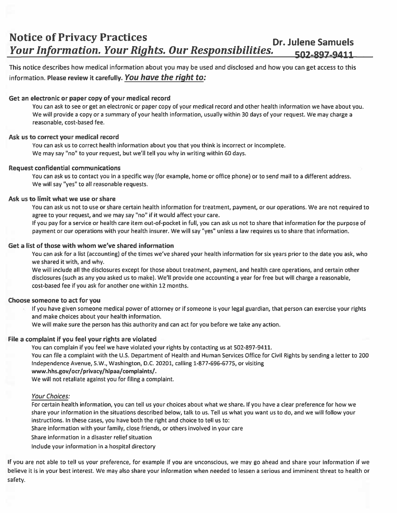#### **Notice of Privacy Practices Dr. Julene Samuels** Your Information. Your Rights. Our Responsibilities. 502-897-9411

This notice describes how medical information about you may be used and disclosed and how you can get access to this information. Please review it carefully. You have the right to:

# Get an electronic or paper copy of your medical record

You can ask to see or get an electronic or paper copy of your medical record and other health information we have about you. We will provide a copy or a summary of your health information, usually within 30 days of your request. We may charge a reasonable, cost-based fee.

#### Ask us to correct your medical record

You can ask us to correct health information about you that you think is incorrect or incomplete. We may say "no" to your request, but we'll tell you why in writing within 60 days.

#### **Request confidential communications**

You can ask us to contact you in a specific way (for example, home or office phone) or to send mail to a different address. We will say "yes" to all reasonable requests.

#### Ask us to limit what we use or share

You can ask us not to use or share certain health information for treatment, payment, or our operations. We are not required to agree to your request, and we may say "no" if it would affect your care.

If you pay for a service or health care item out-of-pocket in full, you can ask us not to share that information for the purpose of payment or our operations with your health insurer. We will say "yes" unless a law requires us to share that information.

#### Get a list of those with whom we've shared information

You can ask for a list (accounting) of the times we've shared your health information for six years prior to the date you ask, who we shared it with, and why.

We will include all the disclosures except for those about treatment, payment, and health care operations, and certain other disclosures (such as any you asked us to make). We'll provide one accounting a year for free but will charge a reasonable, cost-based fee if you ask for another one within 12 months.

#### Choose someone to act for you

If you have given someone medical power of attorney or if someone is your legal guardian, that person can exercise your rights and make choices about your health information.

We will make sure the person has this authority and can act for you before we take any action.

## File a complaint if you feel your rights are violated

You can complain if you feel we have violated your rights by contacting us at 502-897-9411.

You can file a complaint with the U.S. Department of Health and Human Services Office for Civil Rights by sending a letter to 200 Independence Avenue, S.W., Washington, D.C. 20201, calling 1-877-696-6775, or visiting

www.hhs.gov/ocr/privacy/hipaa/complaints/.

We will not retaliate against you for filing a complaint.

#### **Your Choices:**

For certain health information, you can tell us your choices about what we share. If you have a clear preference for how we share your information in the situations described below, talk to us. Tell us what you want us to do, and we will follow your instructions. In these cases, you have both the right and choice to tell us to:

Share information with your family, close friends, or others involved in your care

Share information in a disaster relief situation

Include your information in a hospital directory

If you are not able to tell us your preference, for example if you are unconscious, we may go ahead and share your information if we believe it is in your best interest. We may also share your information when needed to lessen a serious and imminent threat to health or safety.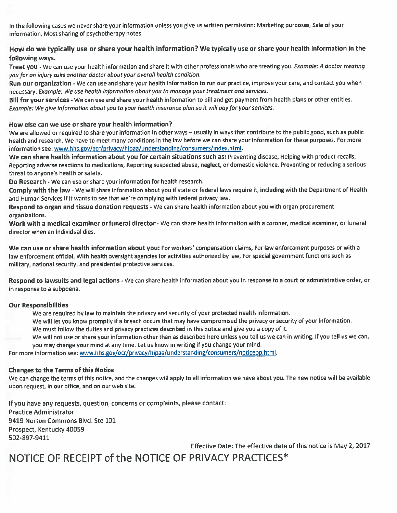In the following cases we never share your information unless you give us written permission: Marketing purposes, Sale of your information, Most sharing of psychotherapy notes.

# How do we typically use or share your health information? We typically use or share your health information in the following ways.

Treat you - We can use your health information and share it with other professionals who are treating you. Example: A doctor treating you for an injury asks another doctor about your overall health condition.

Run our organization - We can use and share your health information to run our practice, improve your care, and contact you when necessary. Example: We use health information about you to manage your treatment and services.

Bill for your services - We can use and share your health information to bill and get payment from health plans or other entities. Example: We give information about you to your health insurance plan so it will pay for your services.

## How else can we use or share your health information?

We are allowed or required to share your information in other ways - usually in ways that contribute to the public good, such as public health and research. We have to meet many conditions in the law before we can share your information for these purposes. For more information see: www.hhs.gov/ocr/privacy/hipaa/understanding/consumers/index.html.

We can share health information about you for certain situations such as: Preventing disease, Helping with product recalls, Reporting adverse reactions to medications, Reporting suspected abuse, neglect, or domestic violence, Preventing or reducing a serious threat to anyone's health or safety.

Do Research - We can use or share your information for health research.

Comply with the law - We will share information about you if state or federal laws require it, including with the Department of Health and Human Services if it wants to see that we're complying with federal privacy law.

Respond to organ and tissue donation requests - We can share health information about you with organ procurement organizations.

Work with a medical examiner or funeral director - We can share health information with a coroner, medical examiner, or funeral director when an individual dies.

We can use or share health information about you: For workers' compensation claims, For law enforcement purposes or with a law enforcement official, With health oversight agencies for activities authorized by law, For special government functions such as military, national security, and presidential protective services.

Respond to lawsuits and legal actions - We can share health information about you in response to a court or administrative order, or in response to a subpoena.

#### **Our Responsibilities**

We are required by law to maintain the privacy and security of your protected health information.

We will let you know promptly if a breach occurs that may have compromised the privacy or security of your information.

We must follow the duties and privacy practices described in this notice and give you a copy of it.

We will not use or share your information other than as described here unless you tell us we can in writing. If you tell us we can, you may change your mind at any time. Let us know in writing if you change your mind.

For more information see: www.hhs.gov/ocr/privacy/hipaa/understanding/consumers/noticepp.html.

## **Changes to the Terms of this Notice**

We can change the terms of this notice, and the changes will apply to all information we have about you. The new notice will be available upon request, in our office, and on our web site.

If you have any requests, question, concerns or complaints, please contact: **Practice Administrator** 9419 Norton Commons Blvd. Ste 101 Prospect, Kentucky 40059 502-897-9411

Effective Date: The effective date of this notice is May 2, 2017

# NOTICE OF RECEIPT of the NOTICE OF PRIVACY PRACTICES\*